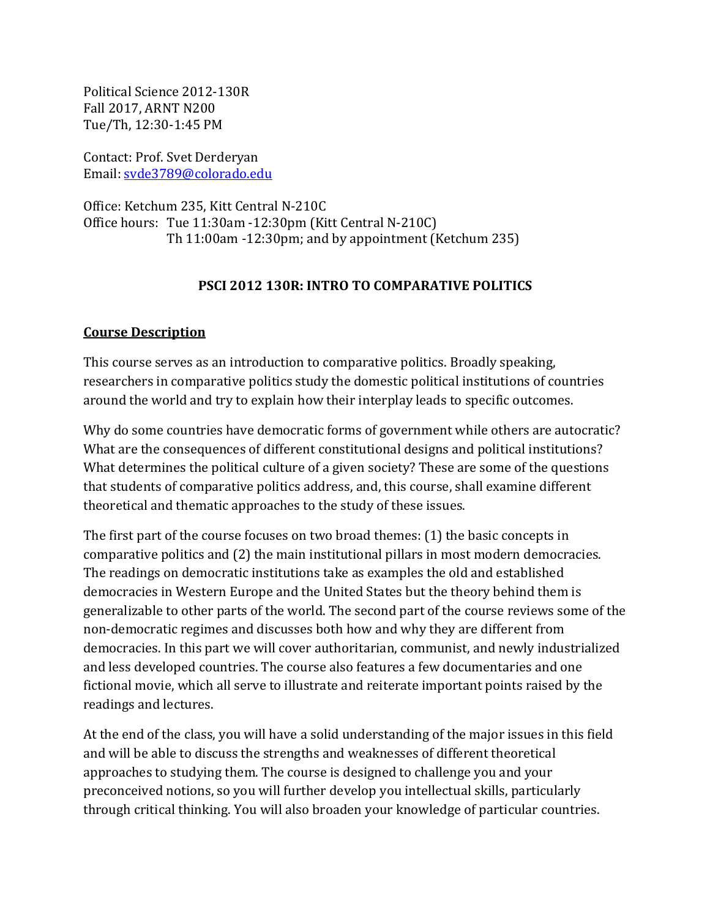Political Science 2012-130R Fall 2017, ARNT N200 Tue/Th, 12:30-1:45 PM

Contact: Prof. Svet Derderyan Email: [svde3789@colorado.edu](mailto:svde3789@colorado.edu)

Office: Ketchum 235, Kitt Central N-210C Office hours: Tue 11:30am -12:30pm (Kitt Central N-210C) Th 11:00am -12:30pm; and by appointment (Ketchum 235)

## **PSCI 2012 130R: INTRO TO COMPARATIVE POLITICS**

## **Course Description**

This course serves as an introduction to comparative politics. Broadly speaking, researchers in comparative politics study the domestic political institutions of countries around the world and try to explain how their interplay leads to specific outcomes.

Why do some countries have democratic forms of government while others are autocratic? What are the consequences of different constitutional designs and political institutions? What determines the political culture of a given society? These are some of the questions that students of comparative politics address, and, this course, shall examine different theoretical and thematic approaches to the study of these issues.

The first part of the course focuses on two broad themes: (1) the basic concepts in comparative politics and (2) the main institutional pillars in most modern democracies. The readings on democratic institutions take as examples the old and established democracies in Western Europe and the United States but the theory behind them is generalizable to other parts of the world. The second part of the course reviews some of the non-democratic regimes and discusses both how and why they are different from democracies. In this part we will cover authoritarian, communist, and newly industrialized and less developed countries. The course also features a few documentaries and one fictional movie, which all serve to illustrate and reiterate important points raised by the readings and lectures.

At the end of the class, you will have a solid understanding of the major issues in this field and will be able to discuss the strengths and weaknesses of different theoretical approaches to studying them. The course is designed to challenge you and your preconceived notions, so you will further develop you intellectual skills, particularly through critical thinking. You will also broaden your knowledge of particular countries.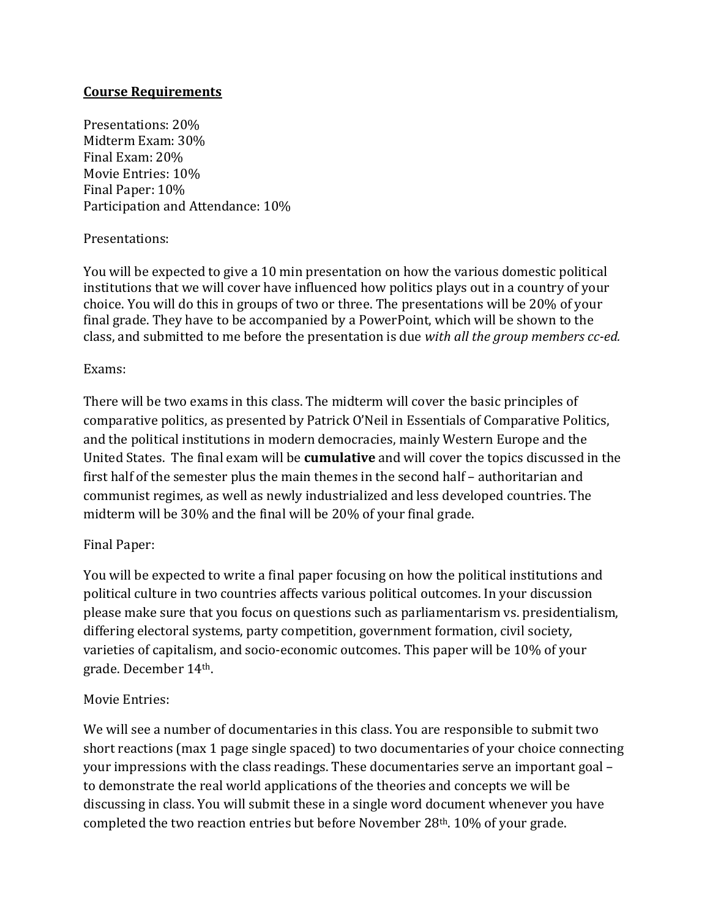## **Course Requirements**

Presentations: 20% Midterm Exam: 30% Final Exam: 20% Movie Entries: 10% Final Paper: 10% Participation and Attendance: 10%

## Presentations:

You will be expected to give a 10 min presentation on how the various domestic political institutions that we will cover have influenced how politics plays out in a country of your choice. You will do this in groups of two or three. The presentations will be 20% of your final grade. They have to be accompanied by a PowerPoint, which will be shown to the class, and submitted to me before the presentation is due *with all the group members cc-ed.* 

#### Exams:

There will be two exams in this class. The midterm will cover the basic principles of comparative politics, as presented by Patrick O'Neil in Essentials of Comparative Politics, and the political institutions in modern democracies, mainly Western Europe and the United States. The final exam will be **cumulative** and will cover the topics discussed in the first half of the semester plus the main themes in the second half – authoritarian and communist regimes, as well as newly industrialized and less developed countries. The midterm will be 30% and the final will be 20% of your final grade.

## Final Paper:

You will be expected to write a final paper focusing on how the political institutions and political culture in two countries affects various political outcomes. In your discussion please make sure that you focus on questions such as parliamentarism vs. presidentialism, differing electoral systems, party competition, government formation, civil society, varieties of capitalism, and socio-economic outcomes. This paper will be 10% of your grade. December 14th.

## Movie Entries:

We will see a number of documentaries in this class. You are responsible to submit two short reactions (max 1 page single spaced) to two documentaries of your choice connecting your impressions with the class readings. These documentaries serve an important goal – to demonstrate the real world applications of the theories and concepts we will be discussing in class. You will submit these in a single word document whenever you have completed the two reaction entries but before November 28th. 10% of your grade.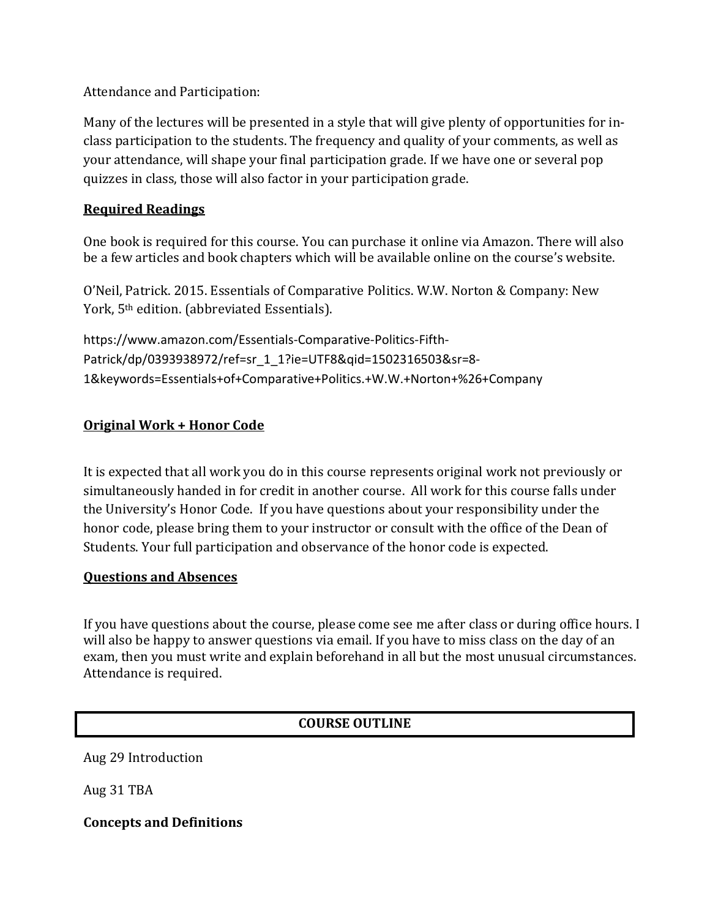Attendance and Participation:

Many of the lectures will be presented in a style that will give plenty of opportunities for inclass participation to the students. The frequency and quality of your comments, as well as your attendance, will shape your final participation grade. If we have one or several pop quizzes in class, those will also factor in your participation grade.

## **Required Readings**

One book is required for this course. You can purchase it online via Amazon. There will also be a few articles and book chapters which will be available online on the course's website.

O'Neil, Patrick. 2015. Essentials of Comparative Politics. W.W. Norton & Company: New York, 5th edition. (abbreviated Essentials).

https://www.amazon.com/Essentials-Comparative-Politics-Fifth-Patrick/dp/0393938972/ref=sr\_1\_1?ie=UTF8&qid=1502316503&sr=8- 1&keywords=Essentials+of+Comparative+Politics.+W.W.+Norton+%26+Company

# **Original Work + Honor Code**

It is expected that all work you do in this course represents original work not previously or simultaneously handed in for credit in another course. All work for this course falls under the University's Honor Code. If you have questions about your responsibility under the honor code, please bring them to your instructor or consult with the office of the Dean of Students. Your full participation and observance of the honor code is expected.

## **Questions and Absences**

If you have questions about the course, please come see me after class or during office hours. I will also be happy to answer questions via email. If you have to miss class on the day of an exam, then you must write and explain beforehand in all but the most unusual circumstances. Attendance is required.

# **COURSE OUTLINE**

Aug 29 Introduction

Aug 31 TBA

**Concepts and Definitions**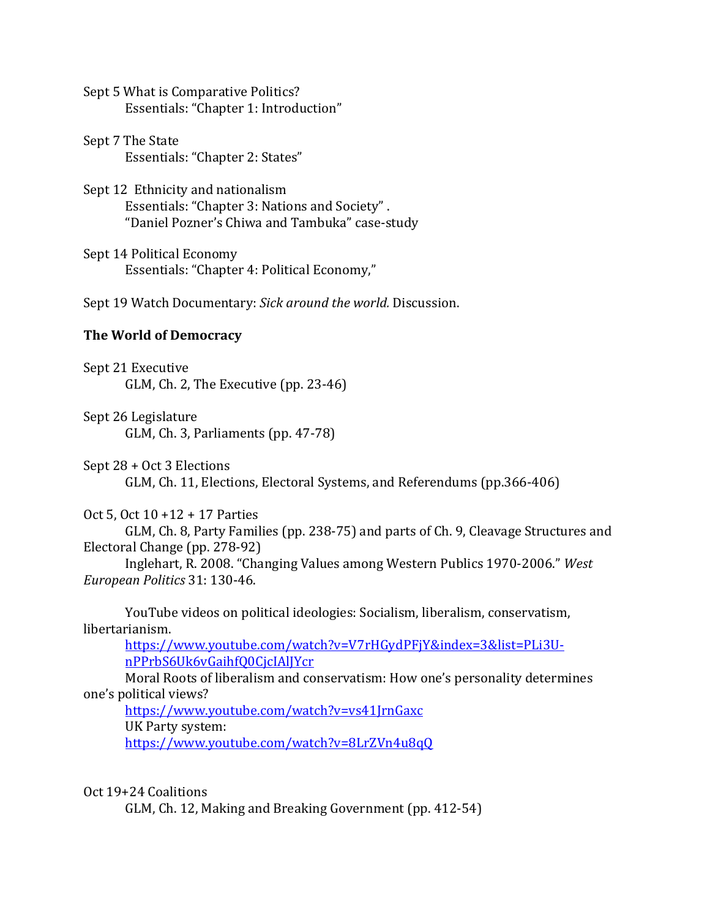Sept 5 What is Comparative Politics? Essentials: "Chapter 1: Introduction"

Sept 7 The State Essentials: "Chapter 2: States"

Sept 12 Ethnicity and nationalism Essentials: "Chapter 3: Nations and Society" . "Daniel Pozner's Chiwa and Tambuka" case-study

Sept 14 Political Economy Essentials: "Chapter 4: Political Economy,"

Sept 19 Watch Documentary: *Sick around the world.* Discussion.

#### **The World of Democracy**

Sept 21 Executive GLM, Ch. 2, The Executive (pp. 23-46)

Sept 26 Legislature GLM, Ch. 3, Parliaments (pp. 47-78)

Sept 28 + Oct 3 Elections GLM, Ch. 11, Elections, Electoral Systems, and Referendums (pp.366-406)

Oct 5, Oct 10 +12 + 17 Parties

GLM, Ch. 8, Party Families (pp. 238-75) and parts of Ch. 9, Cleavage Structures and Electoral Change (pp. 278-92)

Inglehart, R. 2008. "Changing Values among Western Publics 1970-2006." *West European Politics* 31: 130-46.

YouTube videos on political ideologies: Socialism, liberalism, conservatism, libertarianism.

[https://www.youtube.com/watch?v=V7rHGydPFjY&index=3&list=PLi3U](https://www.youtube.com/watch?v=V7rHGydPFjY&index=3&list=PLi3U-nPPrbS6Uk6vGaihfQ0CjcIAlJYcr)[nPPrbS6Uk6vGaihfQ0CjcIAlJYcr](https://www.youtube.com/watch?v=V7rHGydPFjY&index=3&list=PLi3U-nPPrbS6Uk6vGaihfQ0CjcIAlJYcr)

Moral Roots of liberalism and conservatism: How one's personality determines one's political views?

<https://www.youtube.com/watch?v=vs41JrnGaxc> UK Party system: <https://www.youtube.com/watch?v=8LrZVn4u8qQ>

Oct 19+24 Coalitions

GLM, Ch. 12, Making and Breaking Government (pp. 412-54)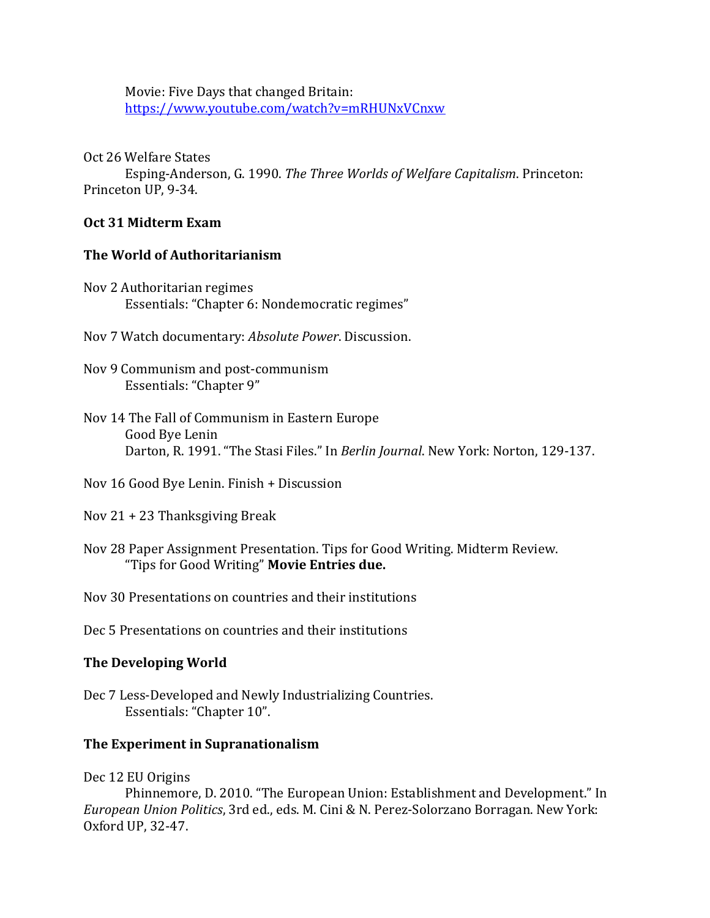Movie: Five Days that changed Britain: <https://www.youtube.com/watch?v=mRHUNxVCnxw>

Oct 26 Welfare States

Esping-Anderson, G. 1990. *The Three Worlds of Welfare Capitalism*. Princeton: Princeton UP, 9-34.

## **Oct 31 Midterm Exam**

## **The World of Authoritarianism**

- Nov 2 Authoritarian regimes Essentials: "Chapter 6: Nondemocratic regimes"
- Nov 7 Watch documentary: *Absolute Power*. Discussion.
- Nov 9 Communism and post-communism Essentials: "Chapter 9"
- Nov 14 The Fall of Communism in Eastern Europe Good Bye Lenin Darton, R. 1991. "The Stasi Files." In *Berlin Journal*. New York: Norton, 129-137.
- Nov 16 Good Bye Lenin. Finish + Discussion
- Nov 21 + 23 Thanksgiving Break
- Nov 28 Paper Assignment Presentation. Tips for Good Writing. Midterm Review. "Tips for Good Writing" **Movie Entries due.**

Nov 30 Presentations on countries and their institutions

Dec 5 Presentations on countries and their institutions

# **The Developing World**

Dec 7 Less-Developed and Newly Industrializing Countries. Essentials: "Chapter 10".

# **The Experiment in Supranationalism**

## Dec 12 EU Origins

Phinnemore, D. 2010. "The European Union: Establishment and Development." In *European Union Politics*, 3rd ed., eds. M. Cini & N. Perez-Solorzano Borragan. New York: Oxford UP, 32-47.